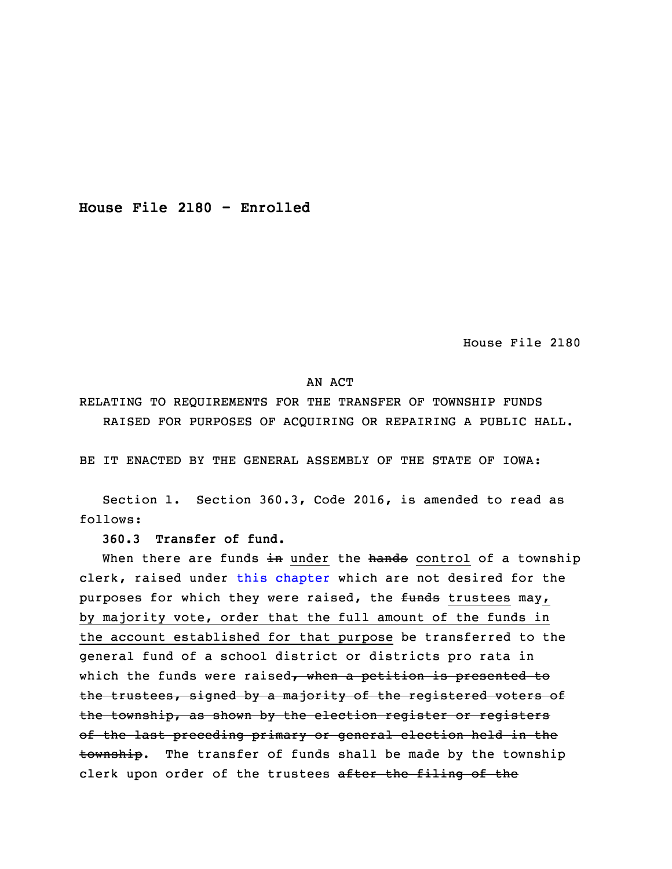**House File 2180 - Enrolled**

House File 2180

## AN ACT

RELATING TO REQUIREMENTS FOR THE TRANSFER OF TOWNSHIP FUNDS RAISED FOR PURPOSES OF ACQUIRING OR REPAIRING A PUBLIC HALL.

BE IT ENACTED BY THE GENERAL ASSEMBLY OF THE STATE OF IOWA:

Section 1. Section 360.3, Code 2016, is amended to read as follows:

**360.3 Transfer of fund.**

When there are funds  $\pm n$  under the hands control of a township clerk, raised under this [chapter](https://www.legis.iowa.gov/docs/code/2016/360.pdf) which are not desired for the purposes for which they were raised, the funds trustees may, by majority vote, order that the full amount of the funds in the account established for that purpose be transferred to the general fund of <sup>a</sup> school district or districts pro rata in which the funds were raised, when a petition is presented to the trustees, signed by <sup>a</sup> majority of the registered voters of the township, as shown by the election register or registers of the last preceding primary or general election held in the township. The transfer of funds shall be made by the township clerk upon order of the trustees after the filing of the